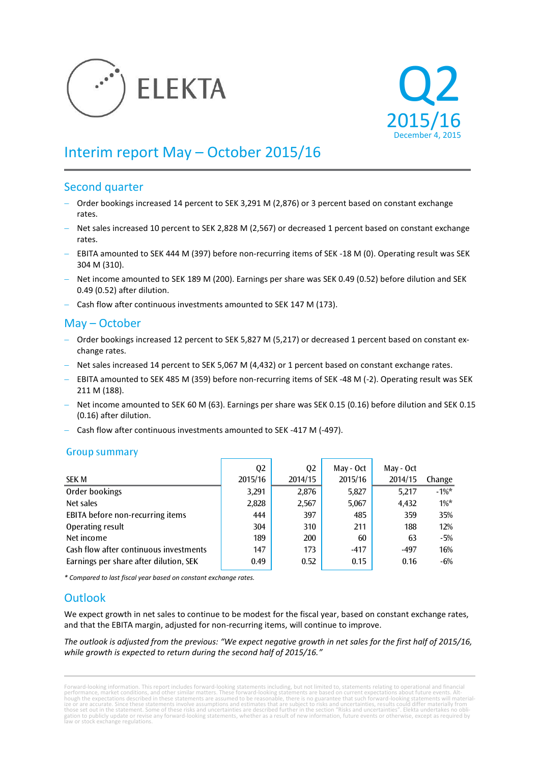



# Interim report May – October 2015/16

### Second quarter

- Order bookings increased 14 percent to SEK 3,291 M (2,876) or 3 percent based on constant exchange rates.
- Net sales increased 10 percent to SEK 2,828 M (2,567) or decreased 1 percent based on constant exchange rates.
- EBITA amounted to SEK 444 M (397) before non-recurring items of SEK -18 M (0). Operating result was SEK 304 M (310).
- Net income amounted to SEK 189 M (200). Earnings per share was SEK 0.49 (0.52) before dilution and SEK 0.49 (0.52) after dilution.
- Cash flow after continuous investments amounted to SEK 147 M (173).

# May – October

- $-$  Order bookings increased 12 percent to SEK 5,827 M (5,217) or decreased 1 percent based on constant exchange rates.
- Net sales increased 14 percent to SEK 5,067 M (4,432) or 1 percent based on constant exchange rates.
- EBITA amounted to SEK 485 M (359) before non-recurring items of SEK -48 M (-2). Operating result was SEK 211 M (188).
- Net income amounted to SEK 60 M (63). Earnings per share was SEK 0.15 (0.16) before dilution and SEK 0.15 (0.16) after dilution.
- Cash flow after continuous investments amounted to SEK -417 M (-497).

### Group summary

|                                        | Q <sub>2</sub> | Q <sub>2</sub> | May - Oct | May - Oct |          |
|----------------------------------------|----------------|----------------|-----------|-----------|----------|
| <b>SEK M</b>                           | 2015/16        | 2014/15        | 2015/16   | 2014/15   | Change   |
| Order bookings                         | 3,291          | 2,876          | 5,827     | 5,217     | $-1\%$ * |
| Net sales                              | 2,828          | 2,567          | 5,067     | 4,432     | $1\%^*$  |
| EBITA before non-recurring items       | 444            | 397            | 485       | 359       | 35%      |
| Operating result                       | 304            | 310            | 211       | 188       | 12%      |
| Net income                             | 189            | 200            | 60        | 63        | $-5%$    |
| Cash flow after continuous investments | 147            | 173            | $-417$    | $-497$    | 16%      |
| Earnings per share after dilution, SEK | 0.49           | 0.52           | 0.15      | 0.16      | -6%      |

*\* Compared to last fiscal year based on constant exchange rates.*

# **Outlook**

We expect growth in net sales to continue to be modest for the fiscal year, based on constant exchange rates, and that the EBITA margin, adjusted for non-recurring items, will continue to improve.

*The outlook is adjusted from the previous: "We expect negative growth in net sales for the first half of 2015/16, while growth is expected to return during the second half of 2015/16."*

Forward-looking information. This report includes forward-looking statements including, but not limited to, statements relating to operational and financial<br>performance, market conditions, and other similar matters. These gation to publicly update or revise any forward-looking statements, whether as a result of new information, future events or otherwise, except as required by law or stock exchange regulations.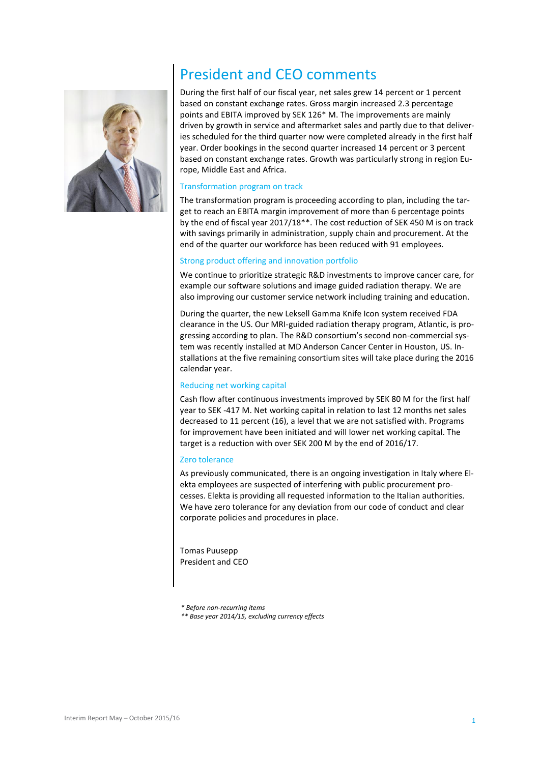

# President and CEO comments

During the first half of our fiscal year, net sales grew 14 percent or 1 percent based on constant exchange rates. Gross margin increased 2.3 percentage points and EBITA improved by SEK 126\* M. The improvements are mainly driven by growth in service and aftermarket sales and partly due to that deliveries scheduled for the third quarter now were completed already in the first half year. Order bookings in the second quarter increased 14 percent or 3 percent based on constant exchange rates. Growth was particularly strong in region Europe, Middle East and Africa.

### Transformation program on track

The transformation program is proceeding according to plan, including the target to reach an EBITA margin improvement of more than 6 percentage points by the end of fiscal year 2017/18\*\*. The cost reduction of SEK 450 M is on track with savings primarily in administration, supply chain and procurement. At the end of the quarter our workforce has been reduced with 91 employees.

#### Strong product offering and innovation portfolio

We continue to prioritize strategic R&D investments to improve cancer care, for example our software solutions and image guided radiation therapy. We are also improving our customer service network including training and education.

During the quarter, the new Leksell Gamma Knife Icon system received FDA clearance in the US. Our MRI-guided radiation therapy program, Atlantic, is progressing according to plan. The R&D consortium's second non-commercial system was recently installed at MD Anderson Cancer Center in Houston, US. Installations at the five remaining consortium sites will take place during the 2016 calendar year.

#### Reducing net working capital

Cash flow after continuous investments improved by SEK 80 M for the first half year to SEK -417 M. Net working capital in relation to last 12 months net sales decreased to 11 percent (16), a level that we are not satisfied with. Programs for improvement have been initiated and will lower net working capital. The target is a reduction with over SEK 200 M by the end of 2016/17.

#### Zero tolerance

As previously communicated, there is an ongoing investigation in Italy where Elekta employees are suspected of interfering with public procurement processes. Elekta is providing all requested information to the Italian authorities. We have zero tolerance for any deviation from our code of conduct and clear corporate policies and procedures in place.

Tomas Puusepp President and CEO

*\* Before non-recurring items*

*\*\* Base year 2014/15, excluding currency effects*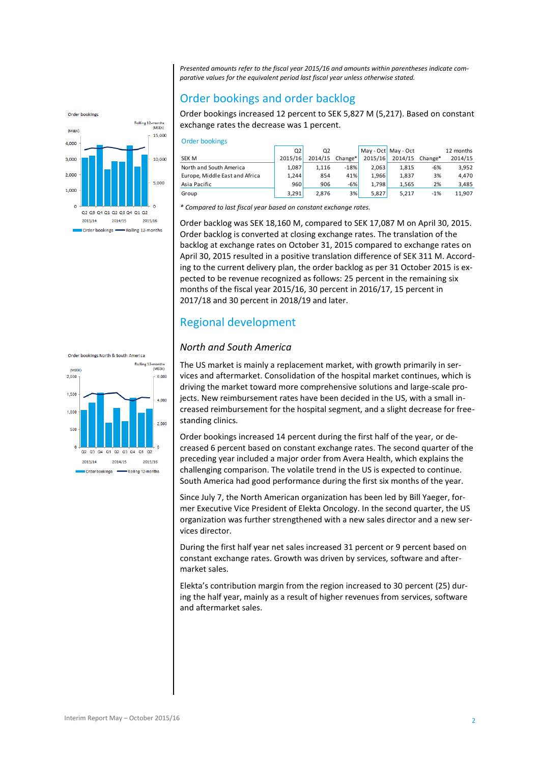*Presented amounts refer to the fiscal year 2015/16 and amounts within parentheses indicate comparative values for the equivalent period last fiscal year unless otherwise stated.*

# Order bookings and order backlog

Order bookings increased 12 percent to SEK 5,827 M (5,217). Based on constant exchange rates the decrease was 1 percent.

| Order bookings                 |                |                |         |         |                     |         |           |
|--------------------------------|----------------|----------------|---------|---------|---------------------|---------|-----------|
|                                | Q <sub>2</sub> | Q <sub>2</sub> |         |         | May - Oct May - Oct |         | 12 months |
| SEK M                          | 2015/16        | 2014/15        | Change* | 2015/16 | 2014/15             | Change* | 2014/15   |
| North and South America        | 1,087          | 1,116          | $-18%$  | 2.063   | 1,815               | $-6%$   | 3,952     |
| Europe, Middle East and Africa | 1.244          | 854            | 41%     | 1.966   | 1,837               | 3%      | 4,470     |
| Asia Pacific                   | 960            | 906            | $-6%$   | 1.798   | 1,565               | 2%      | 3,485     |
| Group                          | 3.291          | 2.876          | 3%      | 5,827   | 5.217               | $-1%$   | 11,907    |
| $-1$<br>.                      |                |                |         |         |                     |         |           |

*\* Compared to last fiscal year based on constant exchange rates.*

Order backlog was SEK 18,160 M, compared to SEK 17,087 M on April 30, 2015. Order backlog is converted at closing exchange rates. The translation of the backlog at exchange rates on October 31, 2015 compared to exchange rates on April 30, 2015 resulted in a positive translation difference of SEK 311 M. According to the current delivery plan, the order backlog as per 31 October 2015 is expected to be revenue recognized as follows: 25 percent in the remaining six months of the fiscal year 2015/16, 30 percent in 2016/17, 15 percent in 2017/18 and 30 percent in 2018/19 and later.

# Regional development

### *North and South America*

The US market is mainly a replacement market, with growth primarily in services and aftermarket. Consolidation of the hospital market continues, which is driving the market toward more comprehensive solutions and large-scale projects. New reimbursement rates have been decided in the US, with a small increased reimbursement for the hospital segment, and a slight decrease for freestanding clinics.

Order bookings increased 14 percent during the first half of the year, or decreased 6 percent based on constant exchange rates. The second quarter of the preceding year included a major order from Avera Health, which explains the challenging comparison. The volatile trend in the US is expected to continue. South America had good performance during the first six months of the year.

Since July 7, the North American organization has been led by Bill Yaeger, former Executive Vice President of Elekta Oncology. In the second quarter, the US organization was further strengthened with a new sales director and a new services director.

During the first half year net sales increased 31 percent or 9 percent based on constant exchange rates. Growth was driven by services, software and aftermarket sales.

Elekta's contribution margin from the region increased to 30 percent (25) during the half year, mainly as a result of higher revenues from services, software and aftermarket sales.





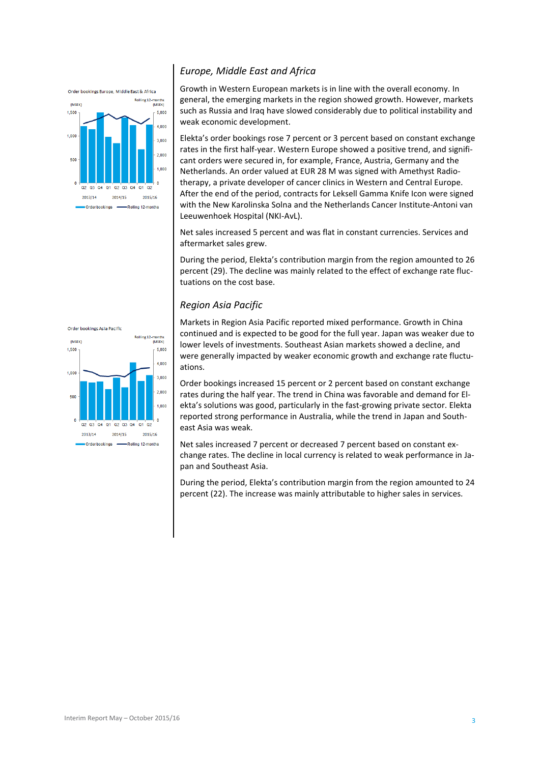

### *Europe, Middle East and Africa*

Growth in Western European markets is in line with the overall economy. In general, the emerging markets in the region showed growth. However, markets such as Russia and Iraq have slowed considerably due to political instability and weak economic development.

Elekta's order bookings rose 7 percent or 3 percent based on constant exchange rates in the first half-year. Western Europe showed a positive trend, and significant orders were secured in, for example, France, Austria, Germany and the Netherlands. An order valued at EUR 28 M was signed with Amethyst Radiotherapy, a private developer of cancer clinics in Western and Central Europe. After the end of the period, contracts for Leksell Gamma Knife Icon were signed with the New Karolinska Solna and the Netherlands Cancer Institute-Antoni van Leeuwenhoek Hospital (NKI-AvL).

Net sales increased 5 percent and was flat in constant currencies. Services and aftermarket sales grew.

During the period, Elekta's contribution margin from the region amounted to 26 percent (29). The decline was mainly related to the effect of exchange rate fluctuations on the cost base.

### *Region Asia Pacific*



Markets in Region Asia Pacific reported mixed performance. Growth in China continued and is expected to be good for the full year. Japan was weaker due to lower levels of investments. Southeast Asian markets showed a decline, and were generally impacted by weaker economic growth and exchange rate fluctuations.

Order bookings increased 15 percent or 2 percent based on constant exchange rates during the half year. The trend in China was favorable and demand for Elekta's solutions was good, particularly in the fast-growing private sector. Elekta reported strong performance in Australia, while the trend in Japan and Southeast Asia was weak.

Net sales increased 7 percent or decreased 7 percent based on constant exchange rates. The decline in local currency is related to weak performance in Japan and Southeast Asia.

During the period, Elekta's contribution margin from the region amounted to 24 percent (22). The increase was mainly attributable to higher sales in services.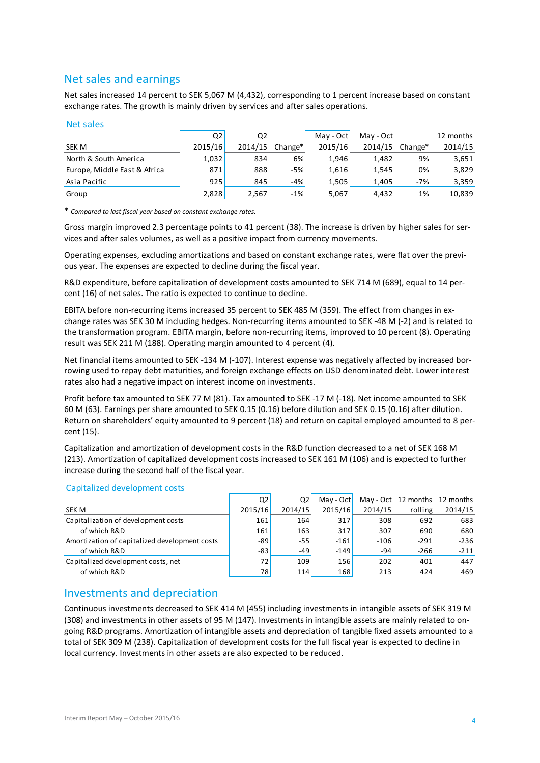# Net sales and earnings

Net sales increased 14 percent to SEK 5,067 M (4,432), corresponding to 1 percent increase based on constant exchange rates. The growth is mainly driven by services and after sales operations.

### Net sales

| Net sales                    |         |                |         |           |           |                 |           |
|------------------------------|---------|----------------|---------|-----------|-----------|-----------------|-----------|
|                              | Q2      | Q <sub>2</sub> |         | May - Oct | May - Oct |                 | 12 months |
| <b>SEK M</b>                 | 2015/16 | 2014/15        | Change* | 2015/16   |           | 2014/15 Change* | 2014/15   |
| North & South America        | 1,032   | 834            | 6%      | 1,946     | 1,482     | 9%              | 3,651     |
| Europe, Middle East & Africa | 871     | 888            | $-5%$   | 1,616     | 1,545     | 0%              | 3,829     |
| Asia Pacific                 | 925     | 845            | $-4%$   | 1,505     | 1,405     | $-7%$           | 3,359     |
| Group                        | 2,828   | 2,567          | $-1%$   | 5,067     | 4,432     | 1%              | 10,839    |
|                              |         |                |         |           |           |                 |           |

\* *Compared to last fiscal year based on constant exchange rates.*

Gross margin improved 2.3 percentage points to 41 percent (38). The increase is driven by higher sales for services and after sales volumes, as well as a positive impact from currency movements.

Operating expenses, excluding amortizations and based on constant exchange rates, were flat over the previous year. The expenses are expected to decline during the fiscal year.

R&D expenditure, before capitalization of development costs amounted to SEK 714 M (689), equal to 14 percent (16) of net sales. The ratio is expected to continue to decline.

EBITA before non-recurring items increased 35 percent to SEK 485 M (359). The effect from changes in exchange rates was SEK 30 M including hedges. Non-recurring items amounted to SEK -48 M (-2) and is related to the transformation program. EBITA margin, before non-recurring items, improved to 10 percent (8). Operating result was SEK 211 M (188). Operating margin amounted to 4 percent (4).

Net financial items amounted to SEK -134 M (-107). Interest expense was negatively affected by increased borrowing used to repay debt maturities, and foreign exchange effects on USD denominated debt. Lower interest rates also had a negative impact on interest income on investments.

Profit before tax amounted to SEK 77 M (81). Tax amounted to SEK -17 M (-18). Net income amounted to SEK 60 M (63). Earnings per share amounted to SEK 0.15 (0.16) before dilution and SEK 0.15 (0.16) after dilution. Return on shareholders' equity amounted to 9 percent (18) and return on capital employed amounted to 8 percent (15).

Capitalization and amortization of development costs in the R&D function decreased to a net of SEK 168 M (213). Amortization of capitalized development costs increased to SEK 161 M (106) and is expected to further increase during the second half of the fiscal year.

### Capitalized development costs

|                                               | Q2      | Q2      | May - Oct |         | May - Oct 12 months 12 months |         |
|-----------------------------------------------|---------|---------|-----------|---------|-------------------------------|---------|
| SEK M                                         | 2015/16 | 2014/15 | 2015/16   | 2014/15 | rolling                       | 2014/15 |
| Capitalization of development costs           | 161     | 164     | 317       | 308     | 692                           | 683     |
| of which R&D                                  | 161     | 163     | 317       | 307     | 690                           | 680     |
| Amortization of capitalized development costs | -89     | $-55$   | $-161$    | $-106$  | $-291$                        | $-236$  |
| of which R&D                                  | -83     | -49     | $-149$    | -94     | $-266$                        | $-211$  |
| Capitalized development costs, net            | 72      | 109     | 156       | 202     | 401                           | 447     |
| of which R&D                                  | 781     | 114     | 168       | 213     | 424                           | 469     |
|                                               |         |         |           |         |                               |         |

### Investments and depreciation

Continuous investments decreased to SEK 414 M (455) including investments in intangible assets of SEK 319 M (308) and investments in other assets of 95 M (147). Investments in intangible assets are mainly related to ongoing R&D programs. Amortization of intangible assets and depreciation of tangible fixed assets amounted to a total of SEK 309 M (238). Capitalization of development costs for the full fiscal year is expected to decline in local currency. Investments in other assets are also expected to be reduced.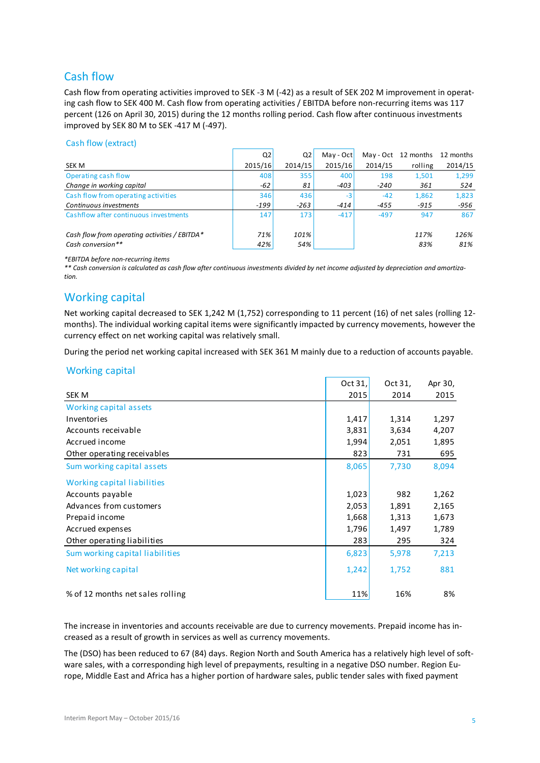# Cash flow

Cash flow from operating activities improved to SEK -3 M (-42) as a result of SEK 202 M improvement in operating cash flow to SEK 400 M. Cash flow from operating activities / EBITDA before non-recurring items was 117 percent (126 on April 30, 2015) during the 12 months rolling period. Cash flow after continuous investments improved by SEK 80 M to SEK -417 M (-497).

### Cash flow (extract)

|                                               | Q <sub>2</sub> | Q <sub>2</sub> | May - Oct |         | May - Oct 12 months 12 months |         |
|-----------------------------------------------|----------------|----------------|-----------|---------|-------------------------------|---------|
| <b>SEK M</b>                                  | 2015/16        | 2014/15        | 2015/16   | 2014/15 | rolling                       | 2014/15 |
| Operating cash flow                           | 408            | 355            | 400       | 198     | 1,501                         | 1,299   |
| Change in working capital                     | -62            | 81             | $-403$    | $-240$  | 361                           | 524     |
| Cash flow from operating activities           | 346            | 436            | $-3$      | $-42$   | 1,862                         | 1,823   |
| Continuous investments                        | $-199$         | $-263$         | $-414$    | $-455$  | $-915$                        | -956    |
| Cashflow after continuous investments         | 147            | 173            | $-417$    | $-497$  | 947                           | 867     |
| Cash flow from operating activities / EBITDA* | 71%            | 101%           |           |         | 117%                          | 126%    |
| Cash conversion**                             | 42%            | 54%            |           |         | 83%                           | 81%     |

*\*EBITDA before non-recurring items*

*\*\* Cash conversion is calculated as cash flow after continuous investments divided by net income adjusted by depreciation and amortization.*

# Working capital

Net working capital decreased to SEK 1,242 M (1,752) corresponding to 11 percent (16) of net sales (rolling 12 months). The individual working capital items were significantly impacted by currency movements, however the currency effect on net working capital was relatively small.

During the period net working capital increased with SEK 361 M mainly due to a reduction of accounts payable.

### Working capital

|                                  | Oct 31, | Oct 31, | Apr 30, |
|----------------------------------|---------|---------|---------|
| <b>SEK M</b>                     | 2015    | 2014    | 2015    |
| Working capital assets           |         |         |         |
| Inventories                      | 1,417   | 1,314   | 1,297   |
| Accounts receivable              | 3,831   | 3,634   | 4,207   |
| Accrued income                   | 1,994   | 2,051   | 1,895   |
| Other operating receivables      | 823     | 731     | 695     |
| Sum working capital assets       | 8,065   | 7,730   | 8,094   |
| Working capital liabilities      |         |         |         |
| Accounts payable                 | 1,023   | 982     | 1,262   |
| Advances from customers          | 2,053   | 1,891   | 2,165   |
| Prepaid income                   | 1,668   | 1,313   | 1,673   |
| Accrued expenses                 | 1,796   | 1,497   | 1,789   |
| Other operating liabilities      | 283     | 295     | 324     |
| Sum working capital liabilities  | 6,823   | 5,978   | 7,213   |
| Net working capital              | 1,242   | 1,752   | 881     |
| % of 12 months net sales rolling | 11%     | 16%     | 8%      |

The increase in inventories and accounts receivable are due to currency movements. Prepaid income has increased as a result of growth in services as well as currency movements.

The (DSO) has been reduced to 67 (84) days. Region North and South America has a relatively high level of software sales, with a corresponding high level of prepayments, resulting in a negative DSO number. Region Europe, Middle East and Africa has a higher portion of hardware sales, public tender sales with fixed payment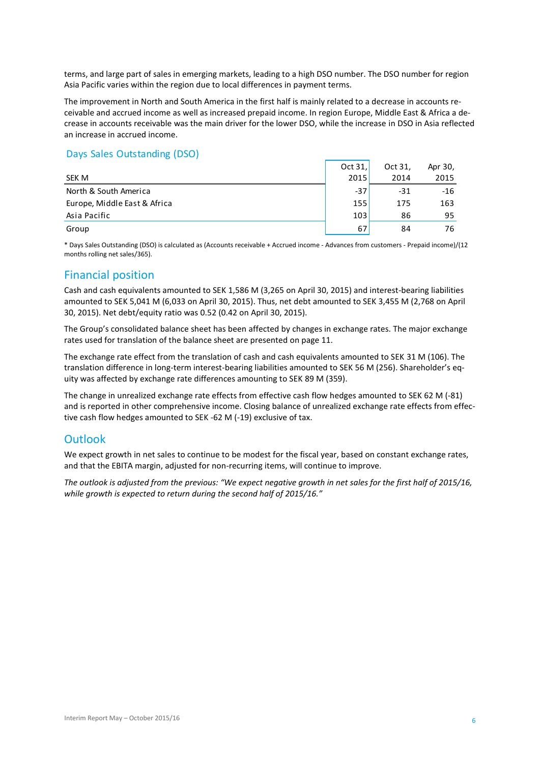terms, and large part of sales in emerging markets, leading to a high DSO number. The DSO number for region Asia Pacific varies within the region due to local differences in payment terms.

The improvement in North and South America in the first half is mainly related to a decrease in accounts receivable and accrued income as well as increased prepaid income. In region Europe, Middle East & Africa a decrease in accounts receivable was the main driver for the lower DSO, while the increase in DSO in Asia reflected an increase in accrued income.

### Days Sales Outstanding (DSO)

|                                                                                                                                | Oct $31.$ | Oct 31. | Apr 30, |
|--------------------------------------------------------------------------------------------------------------------------------|-----------|---------|---------|
| SEK M                                                                                                                          | 2015      | 2014    | 2015    |
| North & South America                                                                                                          | $-37$     | $-31$   | $-16$   |
| Europe, Middle East & Africa                                                                                                   | 155       | 175     | 163     |
| Asia Pacific                                                                                                                   | 103       | 86      | 95      |
| Group                                                                                                                          | 67        | 84      | 76      |
| * Dern Caler Ortetanding (DCO) is related and homeonic meeting let a homeonic commence of them arrived in Capacid in America ( |           |         |         |

\* Days Sales Outstanding (DSO) is calculated as (Accounts receivable + Accrued income - Advances from customers - Prepaid income)/(12 months rolling net sales/365).

## Financial position

Cash and cash equivalents amounted to SEK 1,586 M (3,265 on April 30, 2015) and interest-bearing liabilities amounted to SEK 5,041 M (6,033 on April 30, 2015). Thus, net debt amounted to SEK 3,455 M (2,768 on April 30, 2015). Net debt/equity ratio was 0.52 (0.42 on April 30, 2015).

The Group's consolidated balance sheet has been affected by changes in exchange rates. The major exchange rates used for translation of the balance sheet are presented on page 11.

The exchange rate effect from the translation of cash and cash equivalents amounted to SEK 31 M (106). The translation difference in long-term interest-bearing liabilities amounted to SEK 56 M (256). Shareholder's equity was affected by exchange rate differences amounting to SEK 89 M (359).

The change in unrealized exchange rate effects from effective cash flow hedges amounted to SEK 62 M (-81) and is reported in other comprehensive income. Closing balance of unrealized exchange rate effects from effective cash flow hedges amounted to SEK -62 M (-19) exclusive of tax.

### **Outlook**

We expect growth in net sales to continue to be modest for the fiscal year, based on constant exchange rates, and that the EBITA margin, adjusted for non-recurring items, will continue to improve.

*The outlook is adjusted from the previous: "We expect negative growth in net sales for the first half of 2015/16, while growth is expected to return during the second half of 2015/16."*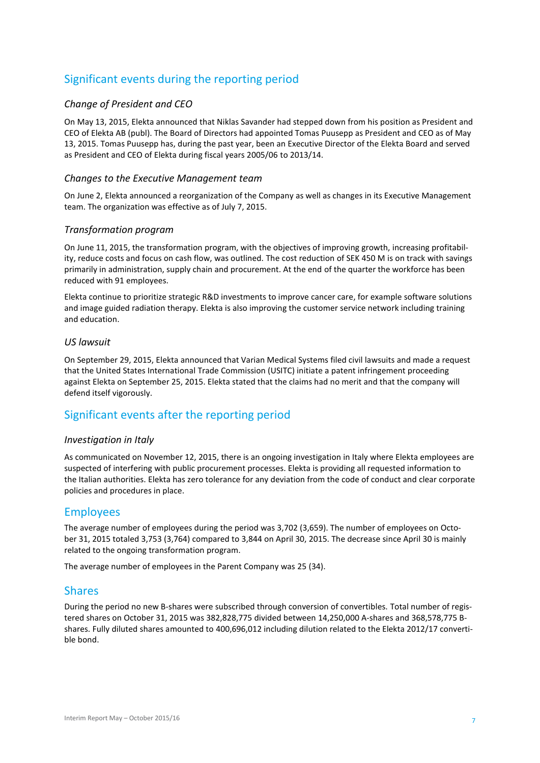# Significant events during the reporting period

### *Change of President and CEO*

On May 13, 2015, Elekta announced that Niklas Savander had stepped down from his position as President and CEO of Elekta AB (publ). The Board of Directors had appointed Tomas Puusepp as President and CEO as of May 13, 2015. Tomas Puusepp has, during the past year, been an Executive Director of the Elekta Board and served as President and CEO of Elekta during fiscal years 2005/06 to 2013/14.

### *Changes to the Executive Management team*

On June 2, Elekta announced a reorganization of the Company as well as changes in its Executive Management team. The organization was effective as of July 7, 2015.

### *Transformation program*

On June 11, 2015, the transformation program, with the objectives of improving growth, increasing profitability, reduce costs and focus on cash flow, was outlined. The cost reduction of SEK 450 M is on track with savings primarily in administration, supply chain and procurement. At the end of the quarter the workforce has been reduced with 91 employees.

Elekta continue to prioritize strategic R&D investments to improve cancer care, for example software solutions and image guided radiation therapy. Elekta is also improving the customer service network including training and education.

### *US lawsuit*

On September 29, 2015, Elekta announced that Varian Medical Systems filed civil lawsuits and made a request that the United States International Trade Commission (USITC) initiate a patent infringement proceeding against Elekta on September 25, 2015. Elekta stated that the claims had no merit and that the company will defend itself vigorously.

### Significant events after the reporting period

### *Investigation in Italy*

As communicated on November 12, 2015, there is an ongoing investigation in Italy where Elekta employees are suspected of interfering with public procurement processes. Elekta is providing all requested information to the Italian authorities. Elekta has zero tolerance for any deviation from the code of conduct and clear corporate policies and procedures in place.

### Employees

The average number of employees during the period was 3,702 (3,659). The number of employees on October 31, 2015 totaled 3,753 (3,764) compared to 3,844 on April 30, 2015. The decrease since April 30 is mainly related to the ongoing transformation program.

The average number of employees in the Parent Company was 25 (34).

### Shares

During the period no new B-shares were subscribed through conversion of convertibles. Total number of registered shares on October 31, 2015 was 382,828,775 divided between 14,250,000 A-shares and 368,578,775 Bshares. Fully diluted shares amounted to 400,696,012 including dilution related to the Elekta 2012/17 convertible bond.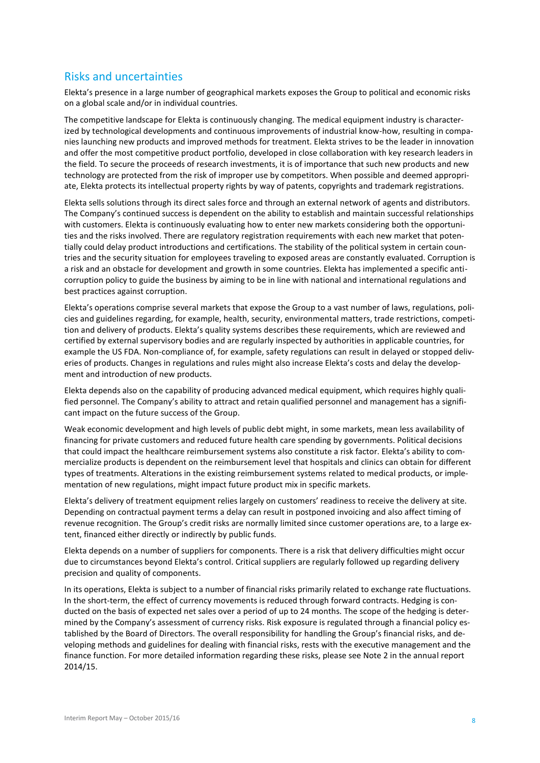### Risks and uncertainties

Elekta's presence in a large number of geographical markets exposes the Group to political and economic risks on a global scale and/or in individual countries.

The competitive landscape for Elekta is continuously changing. The medical equipment industry is characterized by technological developments and continuous improvements of industrial know-how, resulting in companies launching new products and improved methods for treatment. Elekta strives to be the leader in innovation and offer the most competitive product portfolio, developed in close collaboration with key research leaders in the field. To secure the proceeds of research investments, it is of importance that such new products and new technology are protected from the risk of improper use by competitors. When possible and deemed appropriate, Elekta protects its intellectual property rights by way of patents, copyrights and trademark registrations.

Elekta sells solutions through its direct sales force and through an external network of agents and distributors. The Company's continued success is dependent on the ability to establish and maintain successful relationships with customers. Elekta is continuously evaluating how to enter new markets considering both the opportunities and the risks involved. There are regulatory registration requirements with each new market that potentially could delay product introductions and certifications. The stability of the political system in certain countries and the security situation for employees traveling to exposed areas are constantly evaluated. Corruption is a risk and an obstacle for development and growth in some countries. Elekta has implemented a specific anticorruption policy to guide the business by aiming to be in line with national and international regulations and best practices against corruption.

Elekta's operations comprise several markets that expose the Group to a vast number of laws, regulations, policies and guidelines regarding, for example, health, security, environmental matters, trade restrictions, competition and delivery of products. Elekta's quality systems describes these requirements, which are reviewed and certified by external supervisory bodies and are regularly inspected by authorities in applicable countries, for example the US FDA. Non-compliance of, for example, safety regulations can result in delayed or stopped deliveries of products. Changes in regulations and rules might also increase Elekta's costs and delay the development and introduction of new products.

Elekta depends also on the capability of producing advanced medical equipment, which requires highly qualified personnel. The Company's ability to attract and retain qualified personnel and management has a significant impact on the future success of the Group.

Weak economic development and high levels of public debt might, in some markets, mean less availability of financing for private customers and reduced future health care spending by governments. Political decisions that could impact the healthcare reimbursement systems also constitute a risk factor. Elekta's ability to commercialize products is dependent on the reimbursement level that hospitals and clinics can obtain for different types of treatments. Alterations in the existing reimbursement systems related to medical products, or implementation of new regulations, might impact future product mix in specific markets.

Elekta's delivery of treatment equipment relies largely on customers' readiness to receive the delivery at site. Depending on contractual payment terms a delay can result in postponed invoicing and also affect timing of revenue recognition. The Group's credit risks are normally limited since customer operations are, to a large extent, financed either directly or indirectly by public funds.

Elekta depends on a number of suppliers for components. There is a risk that delivery difficulties might occur due to circumstances beyond Elekta's control. Critical suppliers are regularly followed up regarding delivery precision and quality of components.

In its operations, Elekta is subject to a number of financial risks primarily related to exchange rate fluctuations. In the short-term, the effect of currency movements is reduced through forward contracts. Hedging is conducted on the basis of expected net sales over a period of up to 24 months. The scope of the hedging is determined by the Company's assessment of currency risks. Risk exposure is regulated through a financial policy established by the Board of Directors. The overall responsibility for handling the Group's financial risks, and developing methods and guidelines for dealing with financial risks, rests with the executive management and the finance function. For more detailed information regarding these risks, please see Note 2 in the annual report 2014/15.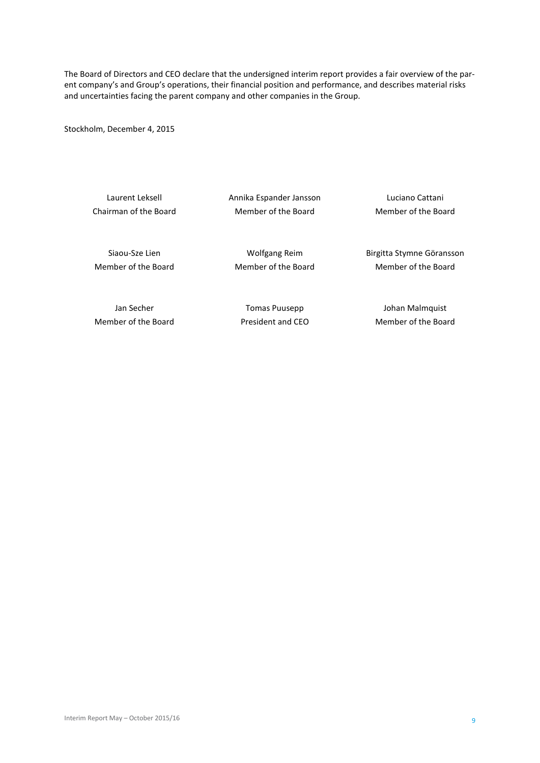The Board of Directors and CEO declare that the undersigned interim report provides a fair overview of the parent company's and Group's operations, their financial position and performance, and describes material risks and uncertainties facing the parent company and other companies in the Group.

Stockholm, December 4, 2015

Laurent Leksell Annika Espander Jansson Luciano Cattani Chairman of the Board Member of the Board Member of the Board

Siaou-Sze Lien **Mütter Channel Wolfgang Reim** Birgitta Stymne Göransson Member of the Board Member of the Board Member of the Board

Jan Secher Tomas Puusepp Johan Malmquist Member of the Board **President and CEO** Member of the Board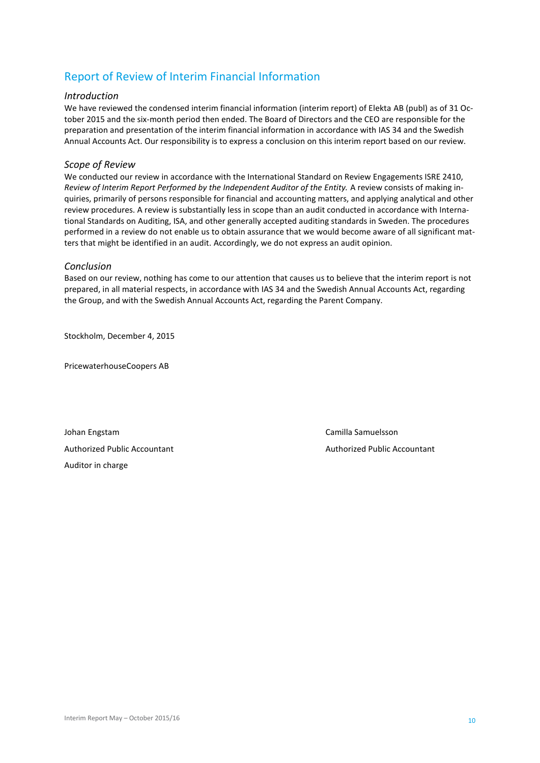# Report of Review of Interim Financial Information

### *Introduction*

We have reviewed the condensed interim financial information (interim report) of Elekta AB (publ) as of 31 October 2015 and the six-month period then ended. The Board of Directors and the CEO are responsible for the preparation and presentation of the interim financial information in accordance with IAS 34 and the Swedish Annual Accounts Act. Our responsibility is to express a conclusion on this interim report based on our review.

### *Scope of Review*

We conducted our review in accordance with the International Standard on Review Engagements ISRE 2410, *Review of Interim Report Performed by the Independent Auditor of the Entity.* A review consists of making inquiries, primarily of persons responsible for financial and accounting matters, and applying analytical and other review procedures. A review is substantially less in scope than an audit conducted in accordance with International Standards on Auditing, ISA, and other generally accepted auditing standards in Sweden. The procedures performed in a review do not enable us to obtain assurance that we would become aware of all significant matters that might be identified in an audit. Accordingly, we do not express an audit opinion.

### *Conclusion*

Based on our review, nothing has come to our attention that causes us to believe that the interim report is not prepared, in all material respects, in accordance with IAS 34 and the Swedish Annual Accounts Act, regarding the Group, and with the Swedish Annual Accounts Act, regarding the Parent Company.

Stockholm, December 4, 2015

PricewaterhouseCoopers AB

Johan Engstam Camilla Samuelsson Authorized Public Accountant Authorized Public Accountant Authorized Public Accountant Auditor in charge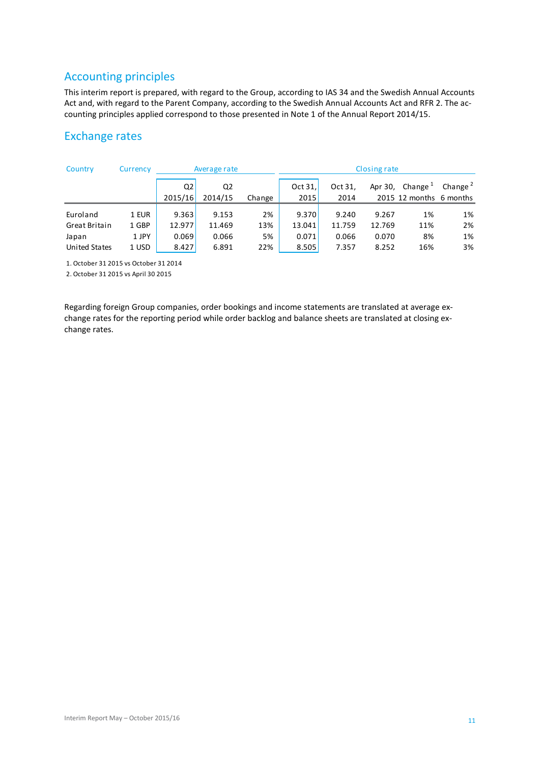# Accounting principles

This interim report is prepared, with regard to the Group, according to IAS 34 and the Swedish Annual Accounts Act and, with regard to the Parent Company, according to the Swedish Annual Accounts Act and RFR 2. The accounting principles applied correspond to those presented in Note 1 of the Annual Report 2014/15.

# Exchange rates

| Country                              | Currency |                | Average rate |        |         |         | Closing rate |                         |            |
|--------------------------------------|----------|----------------|--------------|--------|---------|---------|--------------|-------------------------|------------|
|                                      |          | Q <sub>2</sub> | Q2           |        | Oct 31, | Oct 31, | Apr 30,      | Change $1$              | Change $2$ |
|                                      |          | 2015/16        | 2014/15      | Change | 2015    | 2014    |              | 2015 12 months 6 months |            |
| Euroland                             | 1 EUR    | 9.363          | 9.153        | 2%     | 9.370   | 9.240   | 9.267        | 1%                      | 1%         |
| Great Britain                        | 1 GBP    | 12.977         | 11.469       | 13%    | 13.041  | 11.759  | 12.769       | 11%                     | 2%         |
| Japan                                | 1 JPY    | 0.069          | 0.066        | 5%     | 0.071   | 0.066   | 0.070        | 8%                      | 1%         |
| United States                        | 1 USD    | 8.427          | 6.891        | 22%    | 8.505   | 7.357   | 8.252        | 16%                     | 3%         |
| 1 October 31 2015 vs October 31 2014 |          |                |              |        |         |         |              |                         |            |

1. October 31 2015 vs October 31 2014

2. October 31 2015 vs April 30 2015

Regarding foreign Group companies, order bookings and income statements are translated at average exchange rates for the reporting period while order backlog and balance sheets are translated at closing exchange rates.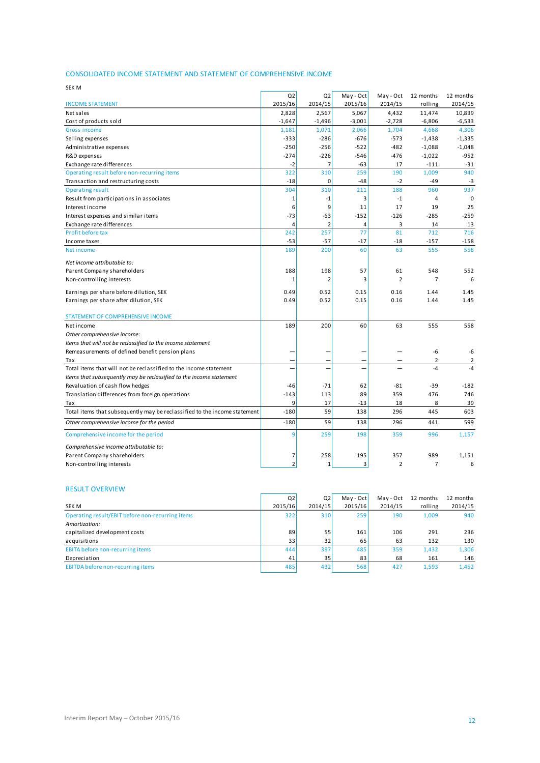### CONSOLIDATED INCOME STATEMENT AND STATEMENT OF COMPREHENSIVE INCOME

| CONSOLIDATED INCOME STATEMENT AND STATEMENT OF COMPREHENSIVE INCOME       |                |                |           |                |                |           |
|---------------------------------------------------------------------------|----------------|----------------|-----------|----------------|----------------|-----------|
| <b>SEK M</b>                                                              |                |                |           |                |                |           |
|                                                                           | Q2             | Q <sub>2</sub> | May - Oct | May - Oct      | 12 months      | 12 months |
| <b>INCOME STATEMENT</b>                                                   | 2015/16        | 2014/15        | 2015/16   | 2014/15        | rolling        | 2014/15   |
| Net sales                                                                 | 2,828          | 2,567          | 5,067     | 4,432          | 11,474         | 10,839    |
| Cost of products sold                                                     | $-1,647$       | $-1,496$       | $-3,001$  | $-2,728$       | $-6,806$       | $-6,533$  |
| <b>Gross income</b>                                                       | 1,181          | 1,071          | 2,066     | 1,704          | 4,668          | 4,306     |
| Selling expenses                                                          | $-333$         | $-286$         | $-676$    | $-573$         | $-1,438$       | $-1,335$  |
| Administrative expenses                                                   | $-250$         | $-256$         | $-522$    | $-482$         | $-1,088$       | $-1,048$  |
| R&D expenses                                                              | $-274$         | $-226$         | $-546$    | $-476$         | $-1,022$       | $-952$    |
| Exchange rate differences                                                 | $-2$           | $\overline{7}$ | $-63$     | 17             | $-111$         | $-31$     |
| Operating result before non-recurring items                               | 322            | 310            | 259       | 190            | 1,009          | 940       |
| Transaction and restructuring costs                                       | $-18$          | 0              | $-48$     | $-2$           | $-49$          | $-3$      |
| <b>Operating result</b>                                                   | 304            | 310            | 211       | 188            | 960            | 937       |
| Result from participations in associates                                  | $\mathbf{1}$   | $-1$           | 3         | $-1$           | $\overline{4}$ | $\Omega$  |
| Interest income                                                           | 6              | 9              | 11        | 17             | 19             | 25        |
| Interest expenses and similar items                                       | $-73$          | $-63$          | $-152$    | $-126$         | $-285$         | $-259$    |
| Exchange rate differences                                                 | 4              | $\overline{2}$ | 4         | 3              | 14             | 13        |
| Profit before tax                                                         | 242            | 257            | 77        | 81             | 712            | 716       |
| Income taxes                                                              | $-53$          | $-57$          | $-17$     | -18            | $-157$         | $-158$    |
| Net income                                                                | 189            | 200            | 60        | 63             | 555            | 558       |
| Net income attributable to:                                               |                |                |           |                |                |           |
| Parent Company shareholders                                               | 188            | 198            | 57        | 61             | 548            | 552       |
| Non-controlling interests                                                 | 1              | 2              | 3         | $\overline{2}$ | $\overline{7}$ | 6         |
| Earnings per share before dilution, SEK                                   | 0.49           | 0.52           | 0.15      | 0.16           | 1.44           | 1.45      |
| Earnings per share after dilution, SEK                                    | 0.49           | 0.52           | 0.15      | 0.16           | 1.44           | 1.45      |
| STATEMENT OF COMPREHENSIVE INCOME                                         |                |                |           |                |                |           |
| Net income                                                                | 189            | 200            | 60        | 63             | 555            | 558       |
| Other comprehensive income:                                               |                |                |           |                |                |           |
| Items that will not be reclassified to the income statement               |                |                |           |                |                |           |
| Remeasurements of defined benefit pension plans                           |                |                |           |                | -6             | -6        |
| Tax                                                                       |                |                |           |                | 2              | 2         |
| Total items that will not be reclassified to the income statement         |                |                |           |                | $-4$           | $-4$      |
| Items that subsequently may be reclassified to the income statement       |                |                |           |                |                |           |
| Revaluation of cash flow hedges                                           | -46            | $-71$          | 62        | $-81$          | $-39$          | $-182$    |
| Translation differences from foreign operations                           | $-143$         | 113            | 89        | 359            | 476            | 746       |
| Tax                                                                       | 9              | 17             | $-13$     | 18             | 8              | 39        |
| Total items that subsequently may be reclassified to the income statement | $-180$         | 59             | 138       | 296            | 445            | 603       |
| Other comprehensive income for the period                                 | $-180$         | 59             | 138       | 296            | 441            | 599       |
| Comprehensive income for the period                                       | q              | 259            | 198       | 359            | 996            | 1,157     |
| Comprehensive income attributable to:                                     |                |                |           |                |                |           |
| Parent Company shareholders                                               | 7              | 258            | 195       | 357            | 989            | 1,151     |
| Non-controlling interests                                                 | $\overline{2}$ | 1              | 3         | $\overline{2}$ | $\overline{7}$ | 6         |

#### RESULT OVERVIEW

| Non-controlling interests                        |                |                |           |           |           | 6         |
|--------------------------------------------------|----------------|----------------|-----------|-----------|-----------|-----------|
|                                                  |                |                |           |           |           |           |
| <b>RESULT OVERVIEW</b>                           |                |                |           |           |           |           |
|                                                  | Q <sub>2</sub> | Q <sub>2</sub> | May - Oct | May - Oct | 12 months | 12 months |
| SEK M                                            | 2015/16        | 2014/15        | 2015/16   | 2014/15   | rolling   | 2014/15   |
| Operating result/EBIT before non-recurring items | 322            | 310            | 259       | 190       | 1.009     | 940       |
| Amortization:                                    |                |                |           |           |           |           |
| capitalized development costs                    | 89             | 55             | 161       | 106       | 291       | 236       |
| acquisitions                                     | 33             | 32             | 65        | 63        | 132       | 130       |
| EBITA before non-recurring items                 | 444            | 397            | 485       | 359       | 1,432     | 1,306     |
| Depreciation                                     | 41             | 35             | 83        | 68        | 161       | 146       |
| EBITDA before non-recurring items                | 485            | 432            | 568       | 427       | 1,593     | 1,452     |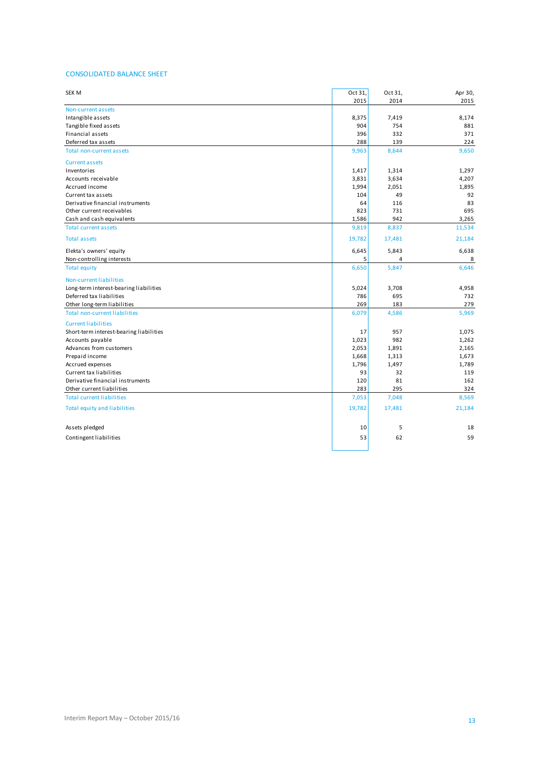#### CONSOLIDATED BALANCE SHEET

| <b>SEK M</b>                            | Oct 31, | Oct 31, | Apr 30, |
|-----------------------------------------|---------|---------|---------|
|                                         | 2015    | 2014    | 2015    |
| Non-current assets                      |         |         |         |
| Intangible assets                       | 8,375   | 7,419   | 8,174   |
| Tangible fixed assets                   | 904     | 754     | 881     |
| Financial assets                        | 396     | 332     | 371     |
| Deferred tax assets                     | 288     | 139     | 224     |
| <b>Total non-current assets</b>         | 9,963   | 8,644   | 9,650   |
| <b>Current assets</b>                   |         |         |         |
| Inventories                             | 1,417   | 1,314   | 1,297   |
| Accounts receivable                     | 3,831   | 3,634   | 4,207   |
| Accrued income                          | 1,994   | 2,051   | 1,895   |
| Current tax assets                      | 104     | 49      | 92      |
| Derivative financial instruments        | 64      | 116     | 83      |
| Other current receivables               | 823     | 731     | 695     |
| Cash and cash equivalents               | 1,586   | 942     | 3,265   |
| <b>Total current assets</b>             | 9,819   | 8,837   | 11,534  |
| <b>Total assets</b>                     | 19,782  | 17,481  | 21,184  |
| Elekta's owners' equity                 | 6,645   | 5,843   | 6,638   |
| Non-controlling interests               | 5       | 4       | 8       |
| <b>Total equity</b>                     | 6,650   | 5,847   | 6,646   |
| Non-current liabilities                 |         |         |         |
| Long-term interest-bearing liabilities  | 5,024   | 3,708   | 4,958   |
| Deferred tax liabilities                | 786     | 695     | 732     |
| Other long-term liabilities             | 269     | 183     | 279     |
| <b>Total non-current liabilities</b>    | 6,079   | 4,586   | 5,969   |
| <b>Current liabilities</b>              |         |         |         |
| Short-term interest-bearing liabilities | 17      | 957     | 1,075   |
| Accounts payable                        | 1,023   | 982     | 1,262   |
| Advances from customers                 | 2,053   | 1,891   | 2,165   |
| Prepaid income                          | 1,668   | 1,313   | 1,673   |
| Accrued expenses                        | 1,796   | 1,497   | 1,789   |
| Current tax liabilities                 | 93      | 32      | 119     |
| Derivative financial instruments        | 120     | 81      | 162     |
| Other current liabilities               | 283     | 295     | 324     |
| <b>Total current liabilities</b>        | 7,053   | 7,048   | 8,569   |
| <b>Total equity and liabilities</b>     | 19,782  | 17,481  | 21,184  |
| Assets pledged                          | 10      | 5       | 18      |
| Contingent liabilities                  | 53      | 62      | 59      |
|                                         |         |         |         |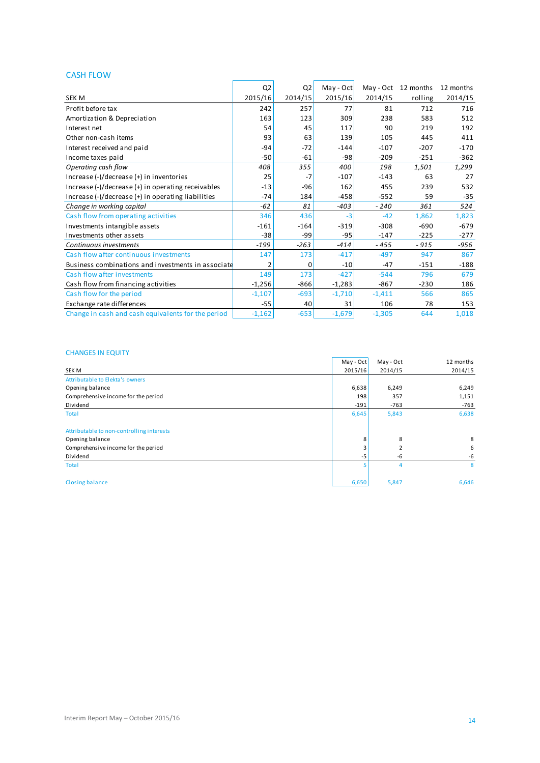### CASH FLOW

| <b>CASH FLOW</b>                                                                                 |                |                |           |          |                               |         |
|--------------------------------------------------------------------------------------------------|----------------|----------------|-----------|----------|-------------------------------|---------|
|                                                                                                  | Q <sub>2</sub> | Q <sub>2</sub> | May - Oct |          | May - Oct 12 months 12 months |         |
| <b>SEK M</b>                                                                                     | 2015/16        | 2014/15        | 2015/16   | 2014/15  | rolling                       | 2014/15 |
| Profit before tax                                                                                | 242            | 257            | 77        | 81       | 712                           | 716     |
| Amortization & Depreciation                                                                      | 163            | 123            | 309       | 238      | 583                           | 512     |
| Interest net                                                                                     | 54             | 45             | 117       | 90       | 219                           | 192     |
| Other non-cash items                                                                             | 93             | 63             | 139       | 105      | 445                           | 411     |
| Interest received and paid                                                                       | $-94$          | $-72$          | $-144$    | $-107$   | $-207$                        | $-170$  |
| Income taxes paid                                                                                | $-50$          | $-61$          | $-98$     | $-209$   | $-251$                        | $-362$  |
| Operating cash flow                                                                              | 408            | 355            | 400       | 198      | 1,501                         | 1,299   |
| Increase (-)/decrease (+) in inventories                                                         | 25             | $-7$           | $-107$    | $-143$   | 63                            | 27      |
| Increase $(-)/$ decrease $(+)$ in operating receivables                                          | $-13$          | $-96$          | 162       | 455      | 239                           | 532     |
| Increase $\left(\frac{1}{2}\right)$ decrease $\left(\frac{1}{2}\right)$ in operating liabilities | $-74$          | 184            | $-458$    | $-552$   | 59                            | $-35$   |
| Change in working capital                                                                        | $-62$          | 81             | $-403$    | $-240$   | 361                           | 524     |
| Cash flow from operating activities                                                              | 346            | 436            | $-3$      | $-42$    | 1,862                         | 1,823   |
| Investments intangible assets                                                                    | $-161$         | $-164$         | $-319$    | $-308$   | $-690$                        | $-679$  |
| Investments other assets                                                                         | $-38$          | -99            | $-95$     | $-147$   | $-225$                        | $-277$  |
| Continuous investments                                                                           | $-199$         | $-263$         | $-414$    | $-455$   | $-915$                        | $-956$  |
| Cash flow after continuous investments                                                           | 147            | 173            | $-417$    | $-497$   | 947                           | 867     |
| Business combinations and investments in associate                                               | 2              | 0              | $-10$     | $-47$    | $-151$                        | $-188$  |
| Cash flow after investments                                                                      | 149            | 173            | $-427$    | $-544$   | 796                           | 679     |
| Cash flow from financing activities                                                              | $-1,256$       | $-866$         | $-1,283$  | $-867$   | $-230$                        | 186     |
| Cash flow for the period                                                                         | $-1,107$       | $-693$         | $-1,710$  | $-1,411$ | 566                           | 865     |
| Exchange rate differences                                                                        | $-55$          | 40             | 31        | 106      | 78                            | 153     |
| Change in cash and cash equivalents for the period                                               | $-1,162$       | $-653$         | $-1,679$  | $-1,305$ | 644                           | 1,018   |

### CHANGES IN EQUITY

|                                           | May - Oct | May - Oct | 12 months |
|-------------------------------------------|-----------|-----------|-----------|
| SEK M                                     | 2015/16   | 2014/15   | 2014/15   |
| Attributable to Elekta's owners           |           |           |           |
| Opening balance                           | 6,638     | 6,249     | 6,249     |
| Comprehensive income for the period       | 198       | 357       | 1,151     |
| Dividend                                  | $-191$    | $-763$    | $-763$    |
| <b>Total</b>                              | 6,645     | 5,843     | 6,638     |
| Attributable to non-controlling interests |           |           |           |
| Opening balance                           | 8         | 8         | 8         |
| Comprehensive income for the period       |           |           | 6         |
| Dividend                                  | -5        | -6        | -6        |
| Total                                     |           |           | 8         |
| <b>Closing balance</b>                    | 6,650     | 5,847     | 6,646     |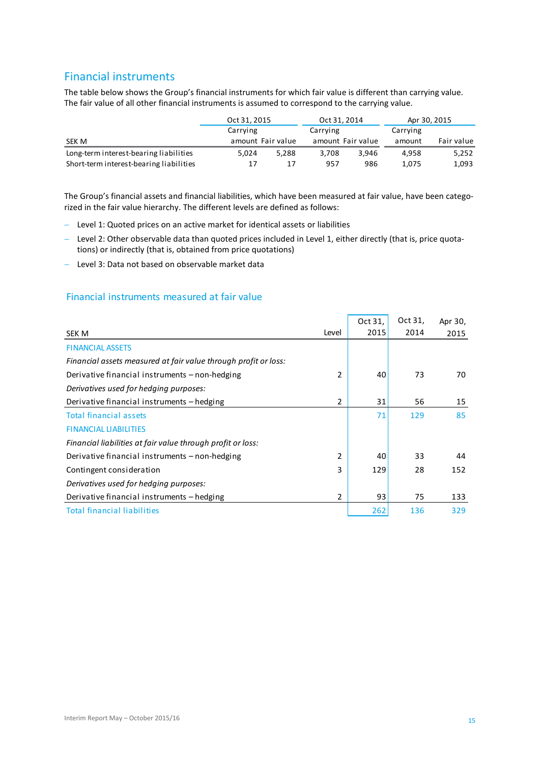# Financial instruments

The table below shows the Group's financial instruments for which fair value is different than carrying value. The fair value of all other financial instruments is assumed to correspond to the carrying value.

|                                         | Oct 31, 2015 |                   | Oct 31, 2014      |       |          | Apr 30, 2015 |
|-----------------------------------------|--------------|-------------------|-------------------|-------|----------|--------------|
|                                         | Carrying     |                   | Carrying          |       | Carrying |              |
| SEK M                                   |              | amount Fair value | amount Fair value |       | amount   | Fair value   |
| Long-term interest-bearing liabilities  | 5.024        | 5,288             | 3,708             | 3,946 | 4.958    | 5,252        |
| Short-term interest-bearing liabilities | 17           | 17                | 957               | 986   | 1.075    | 1,093        |
|                                         |              |                   |                   |       |          |              |

The Group's financial assets and financial liabilities, which have been measured at fair value, have been categorized in the fair value hierarchy. The different levels are defined as follows:

- Level 1: Quoted prices on an active market for identical assets or liabilities
- Level 2: Other observable data than quoted prices included in Level 1, either directly (that is, price quotations) or indirectly (that is, obtained from price quotations)
- Level 3: Data not based on observable market data

### Financial instruments measured at fair value

|                                                                 |               | Oct 31, | Oct 31, | Apr 30, |
|-----------------------------------------------------------------|---------------|---------|---------|---------|
| SEK M                                                           | Level         | 2015    | 2014    | 2015    |
| <b>FINANCIAL ASSETS</b>                                         |               |         |         |         |
| Financial assets measured at fair value through profit or loss: |               |         |         |         |
| Derivative financial instruments – non-hedging                  | $\mathfrak z$ | 40      | 73      | 70      |
| Derivatives used for hedging purposes:                          |               |         |         |         |
| Derivative financial instruments - hedging                      | 2             | 31      | 56      | 15      |
| <b>Total financial assets</b>                                   |               | 71      | 129     | 85      |
| <b>FINANCIAL LIABILITIES</b>                                    |               |         |         |         |
| Financial liabilities at fair value through profit or loss:     |               |         |         |         |
| Derivative financial instruments – non-hedging                  | 2             | 40      | 33      | 44      |
| Contingent consideration                                        | 3             | 129     | 28      | 152     |
| Derivatives used for hedging purposes:                          |               |         |         |         |
| Derivative financial instruments - hedging                      | 2             | 93      | 75      | 133     |
| <b>Total financial liabilities</b>                              |               | 262     | 136     | 329     |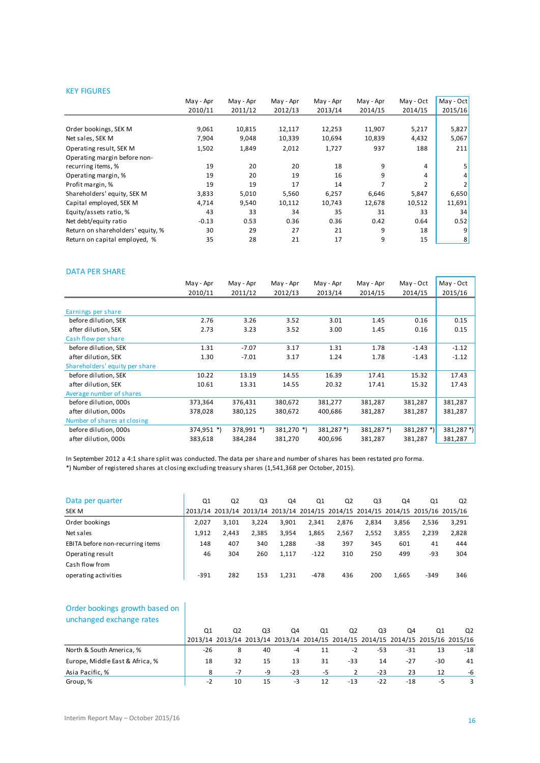#### KEY FIGURES

|                                   | May - Apr | May - Apr | May - Apr | May - Apr | May - Apr | May - Oct      | $May - Oct$ |
|-----------------------------------|-----------|-----------|-----------|-----------|-----------|----------------|-------------|
|                                   | 2010/11   | 2011/12   | 2012/13   | 2013/14   | 2014/15   | 2014/15        | 2015/16     |
|                                   |           |           |           |           |           |                |             |
| Order bookings, SEK M             | 9,061     | 10,815    | 12,117    | 12,253    | 11,907    | 5,217          | 5,827       |
| Net sales, SEK M                  | 7,904     | 9,048     | 10,339    | 10,694    | 10,839    | 4,432          | 5,067       |
| Operating result, SEK M           | 1,502     | 1,849     | 2,012     | 1,727     | 937       | 188            | 211         |
| Operating margin before non-      |           |           |           |           |           |                |             |
| recurring items, %                | 19        | 20        | 20        | 18        | 9         | 4              |             |
| Operating margin, %               | 19        | 20        | 19        | 16        | 9         | 4              |             |
| Profit margin, %                  | 19        | 19        | 17        | 14        | 7         | $\overline{2}$ |             |
| Shareholders' equity, SEK M       | 3,833     | 5,010     | 5,560     | 6,257     | 6,646     | 5,847          | 6,650       |
| Capital employed, SEK M           | 4,714     | 9,540     | 10,112    | 10,743    | 12,678    | 10,512         | 11,691      |
| Equity/assets ratio, %            | 43        | 33        | 34        | 35        | 31        | 33             | 34          |
| Net debt/equity ratio             | $-0.13$   | 0.53      | 0.36      | 0.36      | 0.42      | 0.64           | 0.52        |
| Return on shareholders' equity, % | 30        | 29        | 27        | 21        | 9         | 18             | 9           |
| Return on capital employed, %     | 35        | 28        | 21        | 17        | 9         | 15             | 8           |
|                                   |           |           |           |           |           |                |             |

#### DATA PER SHARE

|                                | May - Apr  | May - Apr  | May - Apr  | May - Apr  | May - Apr  | May - Oct  | May - Oct |
|--------------------------------|------------|------------|------------|------------|------------|------------|-----------|
|                                | 2010/11    | 2011/12    | 2012/13    | 2013/14    | 2014/15    | 2014/15    | 2015/16   |
|                                |            |            |            |            |            |            |           |
| Earnings per share             |            |            |            |            |            |            |           |
| before dilution, SEK           | 2.76       | 3.26       | 3.52       | 3.01       | 1.45       | 0.16       | 0.15      |
| after dilution, SEK            | 2.73       | 3.23       | 3.52       | 3.00       | 1.45       | 0.16       | 0.15      |
| Cash flow per share            |            |            |            |            |            |            |           |
| before dilution, SEK           | 1.31       | $-7.07$    | 3.17       | 1.31       | 1.78       | $-1.43$    | $-1.12$   |
| after dilution, SEK            | 1.30       | $-7.01$    | 3.17       | 1.24       | 1.78       | $-1.43$    | $-1.12$   |
| Shareholders' equity per share |            |            |            |            |            |            |           |
| before dilution, SEK           | 10.22      | 13.19      | 14.55      | 16.39      | 17.41      | 15.32      | 17.43     |
| after dilution, SEK            | 10.61      | 13.31      | 14.55      | 20.32      | 17.41      | 15.32      | 17.43     |
| Average number of shares       |            |            |            |            |            |            |           |
| before dilution, 000s          | 373,364    | 376,431    | 380,672    | 381,277    | 381,287    | 381,287    | 381,287   |
| after dilution. 000s           | 378,028    | 380,125    | 380,672    | 400,686    | 381,287    | 381,287    | 381,287   |
| Number of shares at closing    |            |            |            |            |            |            |           |
| before dilution, 000s          | 374,951 *) | 378,991 *) | 381,270 *) | $381,287*$ | $381,287*$ | 381,287 *) | 381,287*) |
| after dilution. 000s           | 383,618    | 384,284    | 381,270    | 400.696    | 381,287    | 381,287    | 381,287   |

In September 2012 a 4:1 share split was conducted. The data per share and number of shares has been restated pro forma.

\*) Number of registered shares at closing excluding treasury shares (1,541,368 per October, 2015).

| Data per quarter                 | Q1     | Q2    | Q3    | Q4    | Q1     | Q <sub>2</sub> | Q3    | Q4    | Q1                                                                              | Q <sub>2</sub> |
|----------------------------------|--------|-------|-------|-------|--------|----------------|-------|-------|---------------------------------------------------------------------------------|----------------|
| SEK M                            |        |       |       |       |        |                |       |       | 2013/14 2013/14 2013/14 2013/14 2014/15 2014/15 2014/15 2014/15 2015/16 2015/16 |                |
| Order bookings                   | 2.027  | 3.101 | 3.224 | 3.901 | 2.341  | 2,876          | 2.834 | 3.856 | 2.536                                                                           | 3,291          |
| Net sales                        | 1.912  | 2.443 | 2.385 | 3,954 | 1,865  | 2,567          | 2,552 | 3,855 | 2.239                                                                           | 2,828          |
| EBITA before non-recurring items | 148    | 407   | 340   | 1,288 | -38    | 397            | 345   | 601   | 41                                                                              | 444            |
| Operating result                 | 46     | 304   | 260   | 1.117 | $-122$ | 310            | 250   | 499   | -93                                                                             | 304            |
| Cash flow from                   |        |       |       |       |        |                |       |       |                                                                                 |                |
| operating activities             | $-391$ | 282   | 153   | 1,231 | $-478$ | 436            | 200   | 1.665 | $-349$                                                                          | 346            |

### Order bookings growth based on unchanged exchange rates

| unchanged exchange rates        |      |                                                                                 |                |       |    |       |       |       |     |                |
|---------------------------------|------|---------------------------------------------------------------------------------|----------------|-------|----|-------|-------|-------|-----|----------------|
|                                 | 01   | Q <sub>2</sub>                                                                  | Q <sub>3</sub> | Q4    | Q1 | Q2    | Q3    | Q4    | Q1  | Q <sub>2</sub> |
|                                 |      | 2013/14 2013/14 2013/14 2013/14 2014/15 2014/15 2014/15 2014/15 2015/16 2015/16 |                |       |    |       |       |       |     |                |
| North & South America, %        | -26  | 8                                                                               | 40             | -4    | 11 | $-2$  | -53   | -31   | 13  | $-18$          |
| Europe, Middle East & Africa, % | 18   | 32                                                                              | 15             | 13    | 31 | -33   | 14    | $-27$ | -30 | 41             |
| Asia Pacific, %                 | 8    | $-7$                                                                            | -9             | $-23$ | -5 |       | $-23$ | 23    | 12  | -6             |
| Group, %                        | $-2$ | 10                                                                              | 15             | -3    | 12 | $-13$ | $-22$ | $-18$ | -5  | 3              |
|                                 |      |                                                                                 |                |       |    |       |       |       |     |                |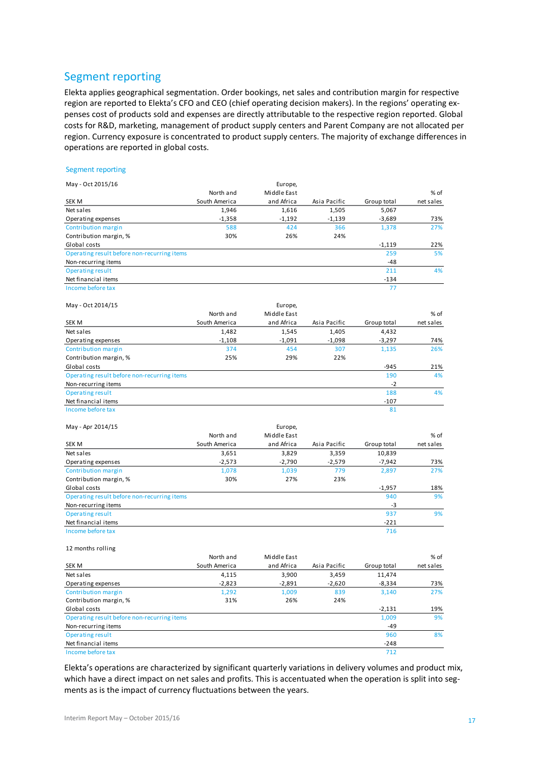### Segment reporting

Elekta applies geographical segmentation. Order bookings, net sales and contribution margin for respective region are reported to Elekta's CFO and CEO (chief operating decision makers). In the regions' operating expenses cost of products sold and expenses are directly attributable to the respective region reported. Global costs for R&D, marketing, management of product supply centers and Parent Company are not allocated per region. Currency exposure is concentrated to product supply centers. The majority of exchange differences in operations are reported in global costs.

#### Segment reporting May - Oct 2015/16 Europe, North and Middle East  $\%$  of SEK M South America and Africa Asia Pacific Group total net sales Net sales 1,946 1,616 1,505 5,067 Operating expenses -1,358 -1,192 -1,139 -3,689 73% Contribution margin 688 588 424 366 1,378 27% Contribution margin, % 30% 26% 24% Global costs  $\sim$  22% Operating result before non-recurring items <sup>259</sup> 5 % Non-recurring items **-48** Contribution margin, % 30% 26% 24%<br>
Global costs<br>
Operating result before non-recurring items 259 5%<br>
Non-recurring items 48<br>
Operating result 211 4%<br>
Net financial items -134 Net financial items **-134** Operating result before non-recurring items<br>
Non-recurring items<br>
Operating result<br>
Net financial items<br>
Income before tax<br>
77 May - Oct 2014/15 Europe,<br>North and Middle East Niddle East  $\%$  of SEK M South America and Africa Asia Pacific Group total net sales Net sales 1,482 1,545 1,405 4,432 Operating expenses -1,108 -1,091 -1,098 -3,297 74% Contribution margin 374 454 307 1,135 26% Contribution margin, % 25% 29% 22%  $\sigma$  -945  $\sigma$  -945  $\sigma$  -945  $\sigma$  -945  $\sigma$  -945  $\sigma$ Operating result before non-recurring items <sup>190</sup> 4 % Non-recurring items  $\frac{1}{2}$ <br>Operating result  $\frac{1}{2}$ Operating result <sup>188</sup> 4 % Net financial items  $-107$ <br>Income before tax  $81$ Operating result before non-recurring items<br> **Non-recurring items**<br> **Solenting result**<br> **Net financial items**<br> **INCOME before tax**<br> **INCOME before tax**<br> **BI**<br> **INCOME before tax**<br> **BI**<br> **BI**<br> **EXPLANTE BI**<br> **BI**<br> **EXPLANTE** May - Apr 2014/15 Europe, Europe, Europe, Europe, Europe, Europe, Europe, Europe, Europe, Europe, Europe, Europe, Europe, Europe, Europe, Europe, Europe, Europe, Europe, Europe, Europe, Europe, Europe, Europe, Europe, Euro Middle East  $\%$  of

| SEK M                                       | South America | and Africa | Asia Pacific | Group total | net sales |
|---------------------------------------------|---------------|------------|--------------|-------------|-----------|
| Net sales                                   | 3,651         | 3,829      | 3,359        | 10,839      |           |
| Operating expenses                          | $-2,573$      | $-2,790$   | $-2,579$     | $-7,942$    | 73%       |
| Contribution margin                         | 1,078         | 1,039      | 779          | 2,897       | 27%       |
| Contribution margin, %                      | 30%           | 27%        | 23%          |             |           |
| Global costs                                |               |            |              | $-1,957$    | 18%       |
| Operating result before non-recurring items |               |            |              | 940         | 9%        |
| Non-recurring items                         |               |            |              | -3          |           |
| Operating result                            |               |            |              | 937         | 9%        |
| Net financial items                         |               |            |              | $-221$      |           |
| Income before tax                           |               |            |              | 716         |           |

#### 12 months rolling

|                                             | North and     | Middle East |              |             | % of      |
|---------------------------------------------|---------------|-------------|--------------|-------------|-----------|
| SEK M                                       | South America | and Africa  | Asia Pacific | Group total | net sales |
| Net sales                                   | 4,115         | 3,900       | 3,459        | 11,474      |           |
| Operating expenses                          | $-2,823$      | $-2,891$    | $-2,620$     | $-8.334$    | 73%       |
| Contribution margin                         | 1,292         | 1,009       | 839          | 3,140       | 27%       |
| Contribution margin, %                      | 31%           | 26%         | 24%          |             |           |
| Global costs                                |               |             |              | $-2,131$    | 19%       |
| Operating result before non-recurring items |               |             |              | 1,009       | 9%        |
| Non-recurring items                         |               |             |              | -49         |           |
| Operating result                            |               |             |              | 960         | 8%        |
| Net financial items                         |               |             |              | $-248$      |           |
| Income before tax                           |               |             |              | 712         |           |

Elekta's operations are characterized by significant quarterly variations in delivery volumes and product mix, which have a direct impact on net sales and profits. This is accentuated when the operation is split into segments as is the impact of currency fluctuations between the years.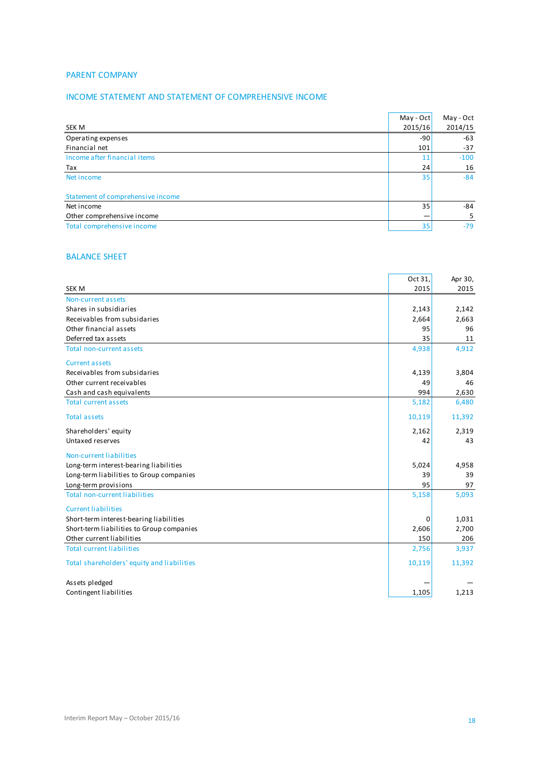### PARENT COMPANY

### INCOME STATEMENT AND STATEMENT OF COMPREHENSIVE INCOME

|                                   | May - Oct | May - Oct |
|-----------------------------------|-----------|-----------|
| SEK M                             | 2015/16   | 2014/15   |
| Operating expenses                | $-90$     | -63       |
| Financial net                     | 101       | $-37$     |
| Income after financial items      | 11        | $-100$    |
| Tax                               | 24        | 16        |
| Net income                        | 35        | $-84$     |
| Statement of comprehensive income |           |           |
| Net income                        | 35        | -84       |
| Other comprehensive income        |           | 5         |
| Total comprehensive income        | 35        | $-79$     |
|                                   |           |           |

### BALANCE SHEET

|                                            | Oct 31, | Apr 30, |
|--------------------------------------------|---------|---------|
| <b>SEK M</b>                               | 2015    | 2015    |
| Non-current assets                         |         |         |
| Shares in subsidiaries                     | 2,143   | 2,142   |
| Receivables from subsidaries               | 2,664   | 2,663   |
| Other financial assets                     | 95      | 96      |
| Deferred tax assets                        | 35      | 11      |
| Total non-current assets                   | 4,938   | 4,912   |
| <b>Current assets</b>                      |         |         |
| Receivables from subsidaries               | 4,139   | 3,804   |
| Other current receivables                  | 49      | 46      |
| Cash and cash equivalents                  | 994     | 2,630   |
| <b>Total current assets</b>                | 5,182   | 6,480   |
| <b>Total assets</b>                        | 10,119  | 11,392  |
| Shareholders' equity                       | 2,162   | 2,319   |
| Untaxed reserves                           | 42      | 43      |
| Non-current liabilities                    |         |         |
| Long-term interest-bearing liabilities     | 5,024   | 4,958   |
| Long-term liabilities to Group companies   | 39      | 39      |
| Long-term provisions                       | 95      | 97      |
| <b>Total non-current liabilities</b>       | 5,158   | 5,093   |
| <b>Current liabilities</b>                 |         |         |
| Short-term interest-bearing liabilities    | 0       | 1,031   |
| Short-term liabilities to Group companies  | 2,606   | 2,700   |
| Other current liabilities                  | 150     | 206     |
| <b>Total current liabilities</b>           | 2,756   | 3,937   |
| Total shareholders' equity and liabilities | 10,119  | 11,392  |
| Assets pledged                             |         |         |
| Contingent liabilities                     | 1,105   | 1,213   |